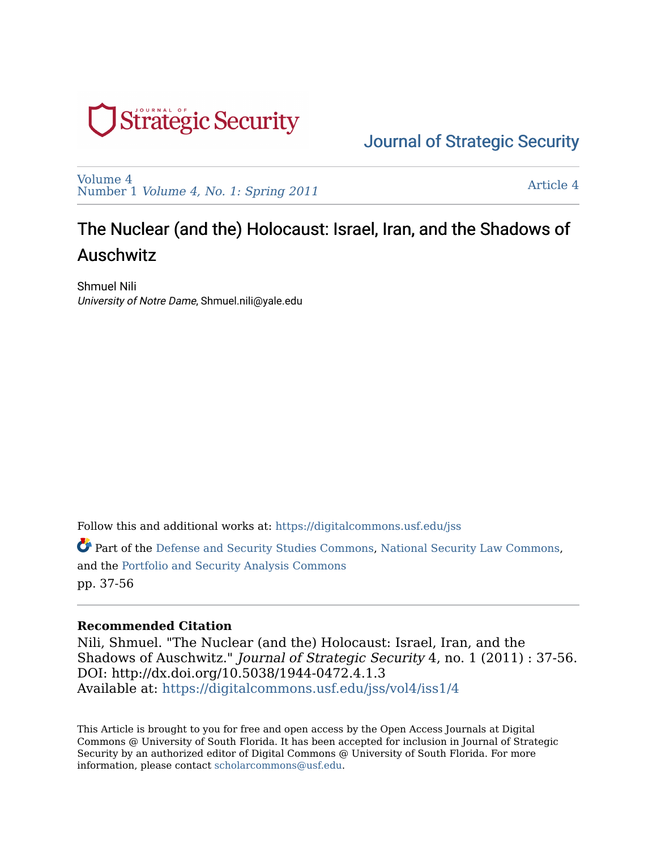

[Volume 4](https://digitalcommons.usf.edu/jss/vol4)  Number 1 [Volume 4, No. 1: Spring 2011](https://digitalcommons.usf.edu/jss/vol4/iss1) 

[Article 4](https://digitalcommons.usf.edu/jss/vol4/iss1/4) 

## The Nuclear (and the) Holocaust: Israel, Iran, and the Shadows of Auschwitz

Shmuel Nili University of Notre Dame, Shmuel.nili@yale.edu

Follow this and additional works at: [https://digitalcommons.usf.edu/jss](https://digitalcommons.usf.edu/jss?utm_source=digitalcommons.usf.edu%2Fjss%2Fvol4%2Fiss1%2F4&utm_medium=PDF&utm_campaign=PDFCoverPages)

Part of the [Defense and Security Studies Commons,](http://network.bepress.com/hgg/discipline/394?utm_source=digitalcommons.usf.edu%2Fjss%2Fvol4%2Fiss1%2F4&utm_medium=PDF&utm_campaign=PDFCoverPages) [National Security Law Commons,](http://network.bepress.com/hgg/discipline/1114?utm_source=digitalcommons.usf.edu%2Fjss%2Fvol4%2Fiss1%2F4&utm_medium=PDF&utm_campaign=PDFCoverPages) and the [Portfolio and Security Analysis Commons](http://network.bepress.com/hgg/discipline/640?utm_source=digitalcommons.usf.edu%2Fjss%2Fvol4%2Fiss1%2F4&utm_medium=PDF&utm_campaign=PDFCoverPages)  pp. 37-56

#### **Recommended Citation**

Nili, Shmuel. "The Nuclear (and the) Holocaust: Israel, Iran, and the Shadows of Auschwitz." Journal of Strategic Security 4, no. 1 (2011) : 37-56. DOI: http://dx.doi.org/10.5038/1944-0472.4.1.3 Available at: [https://digitalcommons.usf.edu/jss/vol4/iss1/4](https://digitalcommons.usf.edu/jss/vol4/iss1/4?utm_source=digitalcommons.usf.edu%2Fjss%2Fvol4%2Fiss1%2F4&utm_medium=PDF&utm_campaign=PDFCoverPages)

This Article is brought to you for free and open access by the Open Access Journals at Digital Commons @ University of South Florida. It has been accepted for inclusion in Journal of Strategic Security by an authorized editor of Digital Commons @ University of South Florida. For more information, please contact [scholarcommons@usf.edu.](mailto:scholarcommons@usf.edu)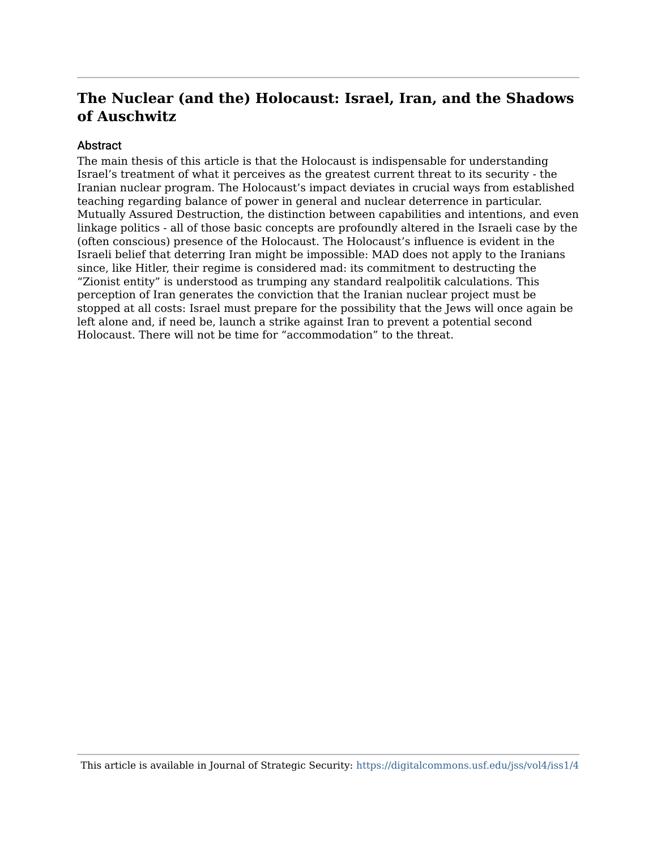#### **Abstract**

The main thesis of this article is that the Holocaust is indispensable for understanding Israel's treatment of what it perceives as the greatest current threat to its security - the Iranian nuclear program. The Holocaust's impact deviates in crucial ways from established teaching regarding balance of power in general and nuclear deterrence in particular. Mutually Assured Destruction, the distinction between capabilities and intentions, and even linkage politics - all of those basic concepts are profoundly altered in the Israeli case by the (often conscious) presence of the Holocaust. The Holocaust's influence is evident in the Israeli belief that deterring Iran might be impossible: MAD does not apply to the Iranians since, like Hitler, their regime is considered mad: its commitment to destructing the "Zionist entity" is understood as trumping any standard realpolitik calculations. This perception of Iran generates the conviction that the Iranian nuclear project must be stopped at all costs: Israel must prepare for the possibility that the Jews will once again be left alone and, if need be, launch a strike against Iran to prevent a potential second Holocaust. There will not be time for "accommodation" to the threat.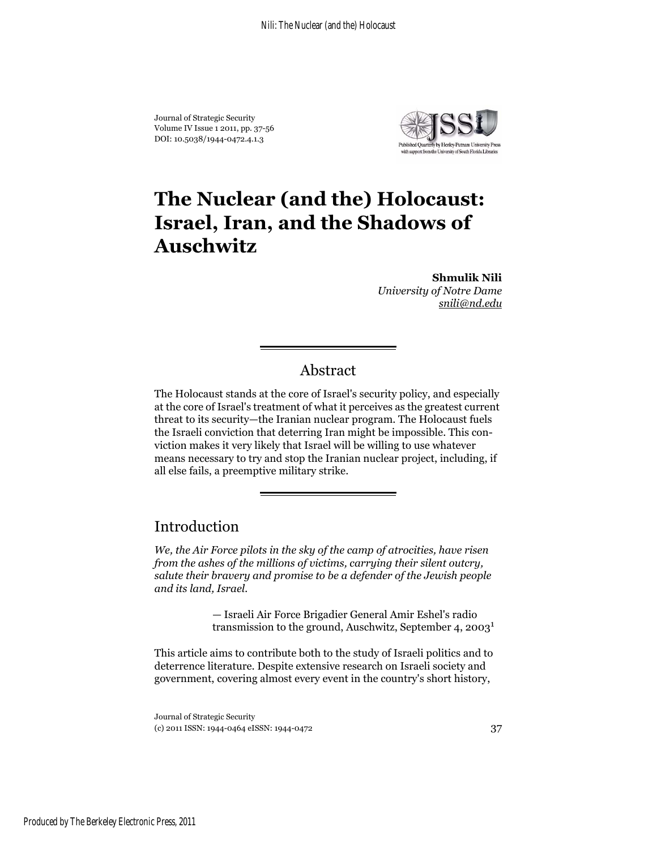Journal of Strategic Security Volume IV Issue 1 2011, pp. 37-56 DOI: 10.5038/1944-0472.4.1.3



# **The Nuclear (and the) Holocaust: Israel, Iran, and the Shadows of Auschwitz**

**Shmulik Nili** *University of Notre Dame snili@nd.edu*

### Abstract

The Holocaust stands at the core of Israel's security policy, and especially at the core of Israel's treatment of what it perceives as the greatest current threat to its security—the Iranian nuclear program. The Holocaust fuels the Israeli conviction that deterring Iran might be impossible. This conviction makes it very likely that Israel will be willing to use whatever means necessary to try and stop the Iranian nuclear project, including, if all else fails, a preemptive military strike.

## Introduction

*We, the Air Force pilots in the sky of the camp of atrocities, have risen from the ashes of the millions of victims, carrying their silent outcry, salute their bravery and promise to be a defender of the Jewish people and its land, Israel.*

> — Israeli Air Force Brigadier General Amir Eshel's radio transmission to the ground, Auschwitz, September 4,  $2003<sup>1</sup>$

This article aims to contribute both to the study of Israeli politics and to deterrence literature. Despite extensive research on Israeli society and government, covering almost every event in the country's short history,

Journal of Strategic Security (c) 2011 ISSN: 1944-0464 eISSN: 1944-0472 37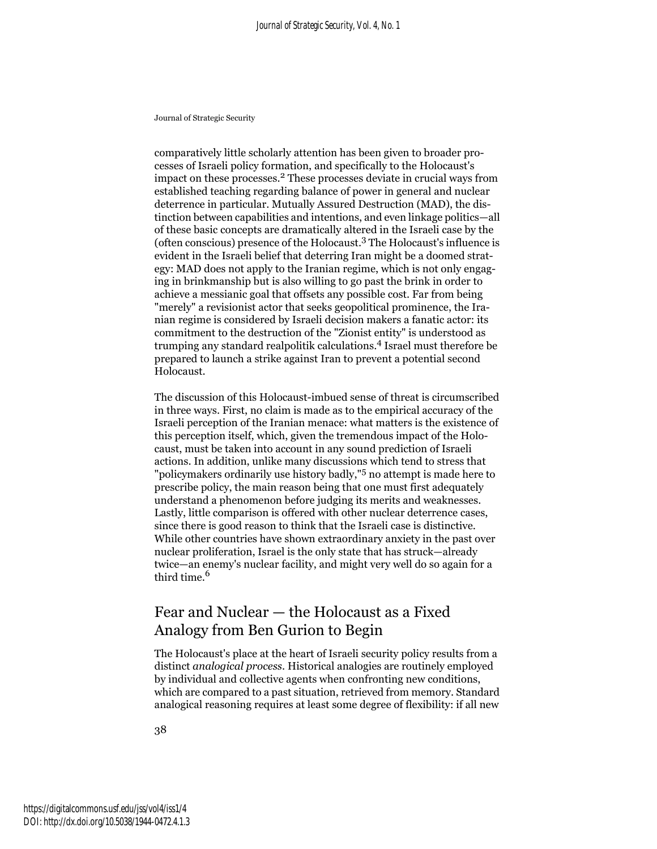comparatively little scholarly attention has been given to broader processes of Israeli policy formation, and specifically to the Holocaust's impact on these processes.2 These processes deviate in crucial ways from established teaching regarding balance of power in general and nuclear deterrence in particular. Mutually Assured Destruction (MAD), the distinction between capabilities and intentions, and even linkage politics—all of these basic concepts are dramatically altered in the Israeli case by the (often conscious) presence of the Holocaust.3 The Holocaust's influence is evident in the Israeli belief that deterring Iran might be a doomed strategy: MAD does not apply to the Iranian regime, which is not only engaging in brinkmanship but is also willing to go past the brink in order to achieve a messianic goal that offsets any possible cost. Far from being "merely" a revisionist actor that seeks geopolitical prominence, the Iranian regime is considered by Israeli decision makers a fanatic actor: its commitment to the destruction of the "Zionist entity" is understood as trumping any standard realpolitik calculations.4 Israel must therefore be prepared to launch a strike against Iran to prevent a potential second Holocaust.

The discussion of this Holocaust-imbued sense of threat is circumscribed in three ways. First, no claim is made as to the empirical accuracy of the Israeli perception of the Iranian menace: what matters is the existence of this perception itself, which, given the tremendous impact of the Holocaust, must be taken into account in any sound prediction of Israeli actions. In addition, unlike many discussions which tend to stress that "policymakers ordinarily use history badly,"5 no attempt is made here to prescribe policy, the main reason being that one must first adequately understand a phenomenon before judging its merits and weaknesses. Lastly, little comparison is offered with other nuclear deterrence cases, since there is good reason to think that the Israeli case is distinctive. While other countries have shown extraordinary anxiety in the past over nuclear proliferation, Israel is the only state that has struck—already twice—an enemy's nuclear facility, and might very well do so again for a third time.<sup>6</sup>

## Fear and Nuclear — the Holocaust as a Fixed Analogy from Ben Gurion to Begin

The Holocaust's place at the heart of Israeli security policy results from a distinct *analogical process*. Historical analogies are routinely employed by individual and collective agents when confronting new conditions, which are compared to a past situation, retrieved from memory. Standard analogical reasoning requires at least some degree of flexibility: if all new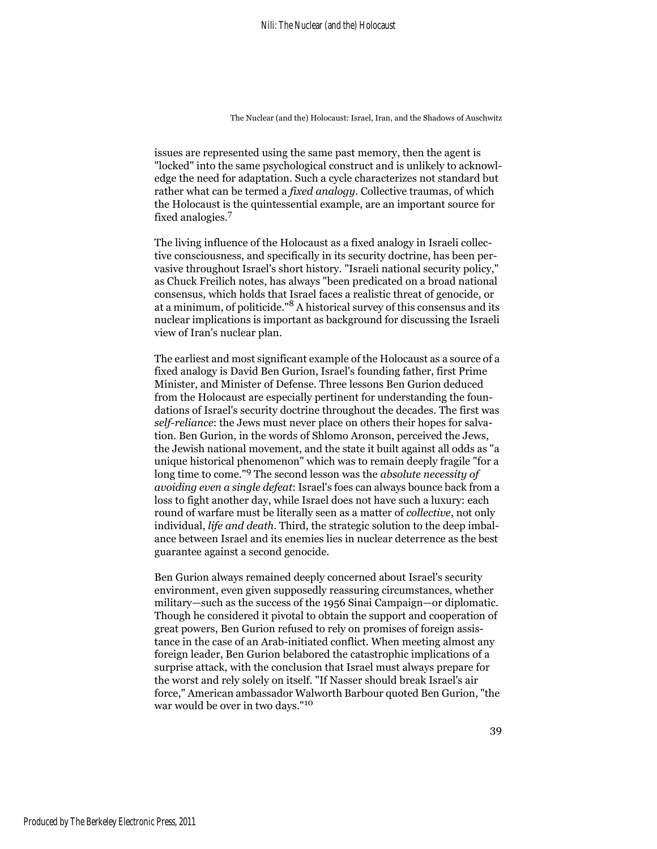issues are represented using the same past memory, then the agent is "locked" into the same psychological construct and is unlikely to acknowledge the need for adaptation. Such a cycle characterizes not standard but rather what can be termed a *fixed analogy*. Collective traumas, of which the Holocaust is the quintessential example, are an important source for fixed analogies.7

The living influence of the Holocaust as a fixed analogy in Israeli collective consciousness, and specifically in its security doctrine, has been pervasive throughout Israel's short history. "Israeli national security policy," as Chuck Freilich notes, has always "been predicated on a broad national consensus, which holds that Israel faces a realistic threat of genocide, or at a minimum, of politicide."8 A historical survey of this consensus and its nuclear implications is important as background for discussing the Israeli view of Iran's nuclear plan.

The earliest and most significant example of the Holocaust as a source of a fixed analogy is David Ben Gurion, Israel's founding father, first Prime Minister, and Minister of Defense. Three lessons Ben Gurion deduced from the Holocaust are especially pertinent for understanding the foundations of Israel's security doctrine throughout the decades. The first was *self-reliance*: the Jews must never place on others their hopes for salvation. Ben Gurion, in the words of Shlomo Aronson, perceived the Jews, the Jewish national movement, and the state it built against all odds as "a unique historical phenomenon" which was to remain deeply fragile "for a long time to come."9 The second lesson was the *absolute necessity of avoiding even a single defeat*: Israel's foes can always bounce back from a loss to fight another day, while Israel does not have such a luxury: each round of warfare must be literally seen as a matter of *collective*, not only individual, *life and death*. Third, the strategic solution to the deep imbalance between Israel and its enemies lies in nuclear deterrence as the best guarantee against a second genocide.

Ben Gurion always remained deeply concerned about Israel's security environment, even given supposedly reassuring circumstances, whether military—such as the success of the 1956 Sinai Campaign—or diplomatic. Though he considered it pivotal to obtain the support and cooperation of great powers, Ben Gurion refused to rely on promises of foreign assistance in the case of an Arab-initiated conflict. When meeting almost any foreign leader, Ben Gurion belabored the catastrophic implications of a surprise attack, with the conclusion that Israel must always prepare for the worst and rely solely on itself. "If Nasser should break Israel's air force," American ambassador Walworth Barbour quoted Ben Gurion, "the war would be over in two days."<sup>10</sup>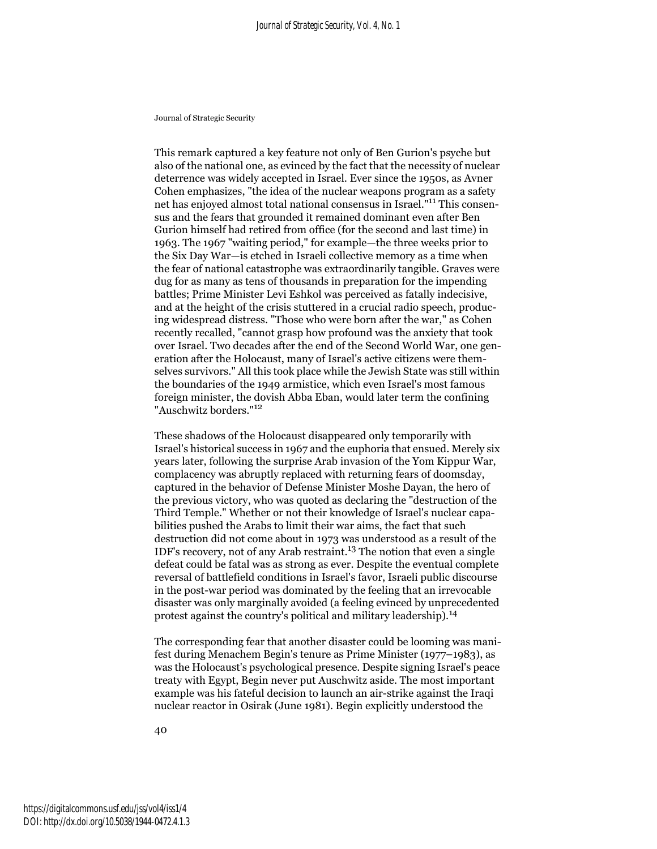This remark captured a key feature not only of Ben Gurion's psyche but also of the national one, as evinced by the fact that the necessity of nuclear deterrence was widely accepted in Israel. Ever since the 1950s, as Avner Cohen emphasizes, "the idea of the nuclear weapons program as a safety net has enjoyed almost total national consensus in Israel."11 This consensus and the fears that grounded it remained dominant even after Ben Gurion himself had retired from office (for the second and last time) in 1963. The 1967 "waiting period," for example—the three weeks prior to the Six Day War—is etched in Israeli collective memory as a time when the fear of national catastrophe was extraordinarily tangible. Graves were dug for as many as tens of thousands in preparation for the impending battles; Prime Minister Levi Eshkol was perceived as fatally indecisive, and at the height of the crisis stuttered in a crucial radio speech, producing widespread distress. "Those who were born after the war," as Cohen recently recalled, "cannot grasp how profound was the anxiety that took over Israel. Two decades after the end of the Second World War, one generation after the Holocaust, many of Israel's active citizens were themselves survivors." All this took place while the Jewish State was still within the boundaries of the 1949 armistice, which even Israel's most famous foreign minister, the dovish Abba Eban, would later term the confining "Auschwitz borders."<sup>12</sup>

These shadows of the Holocaust disappeared only temporarily with Israel's historical success in 1967 and the euphoria that ensued. Merely six years later, following the surprise Arab invasion of the Yom Kippur War, complacency was abruptly replaced with returning fears of doomsday, captured in the behavior of Defense Minister Moshe Dayan, the hero of the previous victory, who was quoted as declaring the "destruction of the Third Temple." Whether or not their knowledge of Israel's nuclear capabilities pushed the Arabs to limit their war aims, the fact that such destruction did not come about in 1973 was understood as a result of the IDF's recovery, not of any Arab restraint.<sup>13</sup> The notion that even a single defeat could be fatal was as strong as ever. Despite the eventual complete reversal of battlefield conditions in Israel's favor, Israeli public discourse in the post-war period was dominated by the feeling that an irrevocable disaster was only marginally avoided (a feeling evinced by unprecedented protest against the country's political and military leadership).<sup>14</sup>

The corresponding fear that another disaster could be looming was manifest during Menachem Begin's tenure as Prime Minister (1977–1983), as was the Holocaust's psychological presence. Despite signing Israel's peace treaty with Egypt, Begin never put Auschwitz aside. The most important example was his fateful decision to launch an air-strike against the Iraqi nuclear reactor in Osirak (June 1981). Begin explicitly understood the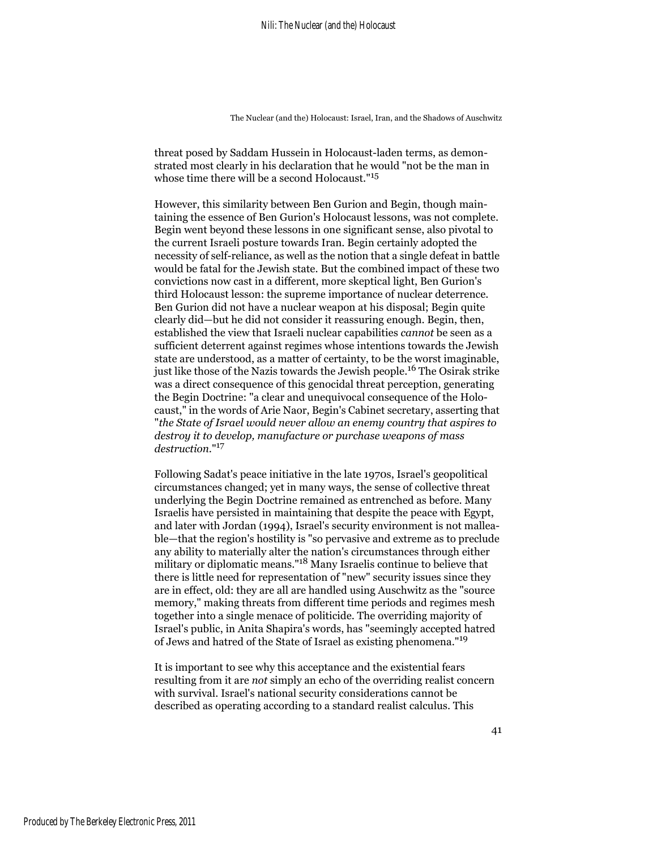threat posed by Saddam Hussein in Holocaust-laden terms, as demonstrated most clearly in his declaration that he would "not be the man in whose time there will be a second Holocaust."<sup>15</sup>

However, this similarity between Ben Gurion and Begin, though maintaining the essence of Ben Gurion's Holocaust lessons, was not complete. Begin went beyond these lessons in one significant sense, also pivotal to the current Israeli posture towards Iran. Begin certainly adopted the necessity of self-reliance, as well as the notion that a single defeat in battle would be fatal for the Jewish state. But the combined impact of these two convictions now cast in a different, more skeptical light, Ben Gurion's third Holocaust lesson: the supreme importance of nuclear deterrence. Ben Gurion did not have a nuclear weapon at his disposal; Begin quite clearly did—but he did not consider it reassuring enough. Begin, then, established the view that Israeli nuclear capabilities *cannot* be seen as a sufficient deterrent against regimes whose intentions towards the Jewish state are understood, as a matter of certainty, to be the worst imaginable, just like those of the Nazis towards the Jewish people.<sup>16</sup> The Osirak strike was a direct consequence of this genocidal threat perception, generating the Begin Doctrine: "a clear and unequivocal consequence of the Holocaust," in the words of Arie Naor, Begin's Cabinet secretary, asserting that "*the State of Israel would never allow an enemy country that aspires to destroy it to develop, manufacture or purchase weapons of mass destruction*."<sup>17</sup>

Following Sadat's peace initiative in the late 1970s, Israel's geopolitical circumstances changed; yet in many ways, the sense of collective threat underlying the Begin Doctrine remained as entrenched as before. Many Israelis have persisted in maintaining that despite the peace with Egypt, and later with Jordan (1994), Israel's security environment is not malleable—that the region's hostility is "so pervasive and extreme as to preclude any ability to materially alter the nation's circumstances through either military or diplomatic means."18 Many Israelis continue to believe that there is little need for representation of "new" security issues since they are in effect, old: they are all are handled using Auschwitz as the "source memory," making threats from different time periods and regimes mesh together into a single menace of politicide. The overriding majority of Israel's public, in Anita Shapira's words, has "seemingly accepted hatred of Jews and hatred of the State of Israel as existing phenomena."<sup>19</sup>

It is important to see why this acceptance and the existential fears resulting from it are *not* simply an echo of the overriding realist concern with survival. Israel's national security considerations cannot be described as operating according to a standard realist calculus. This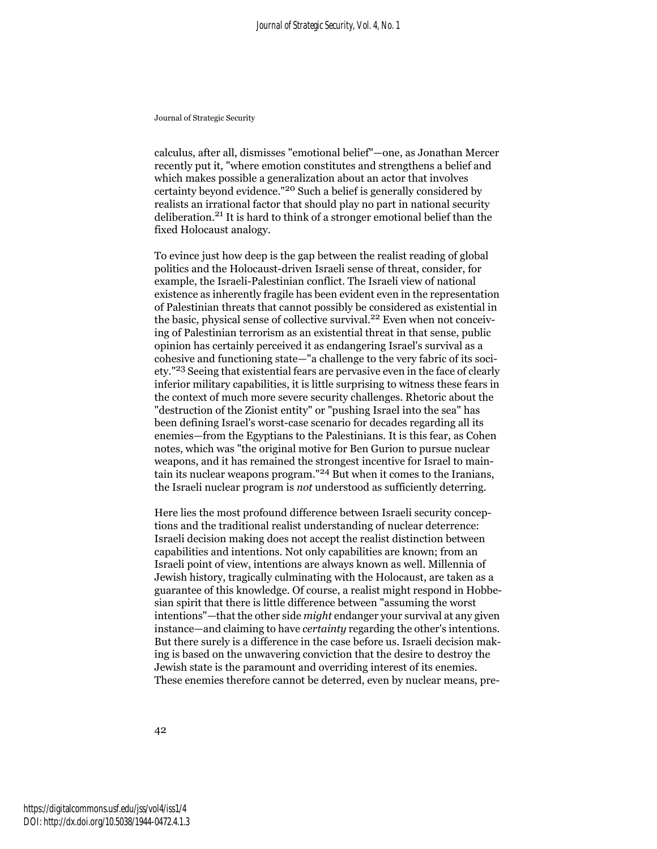calculus, after all, dismisses "emotional belief"—one, as Jonathan Mercer recently put it, "where emotion constitutes and strengthens a belief and which makes possible a generalization about an actor that involves certainty beyond evidence."20 Such a belief is generally considered by realists an irrational factor that should play no part in national security deliberation.21 It is hard to think of a stronger emotional belief than the fixed Holocaust analogy.

To evince just how deep is the gap between the realist reading of global politics and the Holocaust-driven Israeli sense of threat, consider, for example, the Israeli-Palestinian conflict. The Israeli view of national existence as inherently fragile has been evident even in the representation of Palestinian threats that cannot possibly be considered as existential in the basic, physical sense of collective survival.<sup>22</sup> Even when not conceiving of Palestinian terrorism as an existential threat in that sense, public opinion has certainly perceived it as endangering Israel's survival as a cohesive and functioning state—"a challenge to the very fabric of its society."23 Seeing that existential fears are pervasive even in the face of clearly inferior military capabilities, it is little surprising to witness these fears in the context of much more severe security challenges. Rhetoric about the "destruction of the Zionist entity" or "pushing Israel into the sea" has been defining Israel's worst-case scenario for decades regarding all its enemies—from the Egyptians to the Palestinians. It is this fear, as Cohen notes, which was "the original motive for Ben Gurion to pursue nuclear weapons, and it has remained the strongest incentive for Israel to maintain its nuclear weapons program."24 But when it comes to the Iranians, the Israeli nuclear program is *not* understood as sufficiently deterring.

Here lies the most profound difference between Israeli security conceptions and the traditional realist understanding of nuclear deterrence: Israeli decision making does not accept the realist distinction between capabilities and intentions. Not only capabilities are known; from an Israeli point of view, intentions are always known as well. Millennia of Jewish history, tragically culminating with the Holocaust, are taken as a guarantee of this knowledge. Of course, a realist might respond in Hobbesian spirit that there is little difference between "assuming the worst intentions"—that the other side *might* endanger your survival at any given instance—and claiming to have *certainty* regarding the other's intentions. But there surely is a difference in the case before us. Israeli decision making is based on the unwavering conviction that the desire to destroy the Jewish state is the paramount and overriding interest of its enemies. These enemies therefore cannot be deterred, even by nuclear means, pre-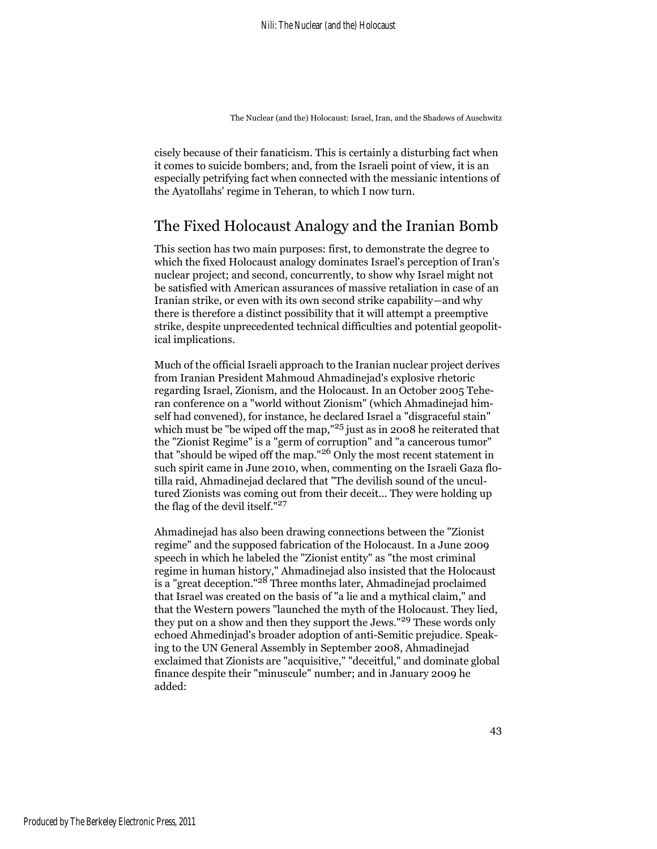cisely because of their fanaticism. This is certainly a disturbing fact when it comes to suicide bombers; and, from the Israeli point of view, it is an especially petrifying fact when connected with the messianic intentions of the Ayatollahs' regime in Teheran, to which I now turn.

### The Fixed Holocaust Analogy and the Iranian Bomb

This section has two main purposes: first, to demonstrate the degree to which the fixed Holocaust analogy dominates Israel's perception of Iran's nuclear project; and second, concurrently, to show why Israel might not be satisfied with American assurances of massive retaliation in case of an Iranian strike, or even with its own second strike capability—and why there is therefore a distinct possibility that it will attempt a preemptive strike, despite unprecedented technical difficulties and potential geopolitical implications.

Much of the official Israeli approach to the Iranian nuclear project derives from Iranian President Mahmoud Ahmadinejad's explosive rhetoric regarding Israel, Zionism, and the Holocaust. In an October 2005 Teheran conference on a "world without Zionism" (which Ahmadinejad himself had convened), for instance, he declared Israel a "disgraceful stain" which must be "be wiped off the map,"25 just as in 2008 he reiterated that the "Zionist Regime" is a "germ of corruption" and "a cancerous tumor" that "should be wiped off the map."26 Only the most recent statement in such spirit came in June 2010, when, commenting on the Israeli Gaza flotilla raid, Ahmadinejad declared that "The devilish sound of the uncultured Zionists was coming out from their deceit... They were holding up the flag of the devil itself."<sup>27</sup>

Ahmadinejad has also been drawing connections between the "Zionist regime" and the supposed fabrication of the Holocaust. In a June 2009 speech in which he labeled the "Zionist entity" as "the most criminal regime in human history," Ahmadinejad also insisted that the Holocaust is a "great deception."<sup>28</sup> Three months later, Ahmadinejad proclaimed that Israel was created on the basis of "a lie and a mythical claim," and that the Western powers "launched the myth of the Holocaust. They lied, they put on a show and then they support the Jews."29 These words only echoed Ahmedinjad's broader adoption of anti-Semitic prejudice. Speaking to the UN General Assembly in September 2008, Ahmadinejad exclaimed that Zionists are "acquisitive," "deceitful," and dominate global finance despite their "minuscule" number; and in January 2009 he added: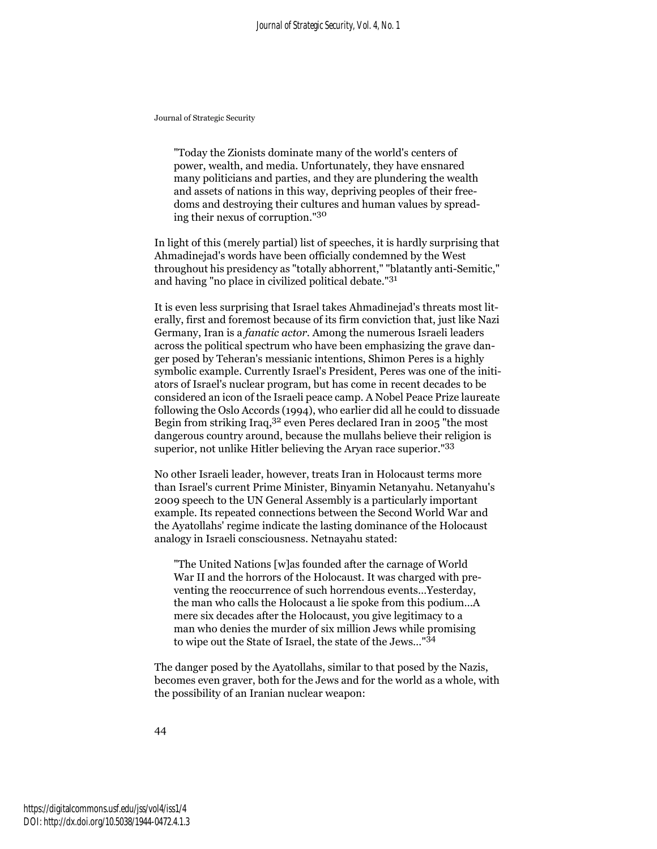"Today the Zionists dominate many of the world's centers of power, wealth, and media. Unfortunately, they have ensnared many politicians and parties, and they are plundering the wealth and assets of nations in this way, depriving peoples of their freedoms and destroying their cultures and human values by spreading their nexus of corruption."<sup>30</sup>

In light of this (merely partial) list of speeches, it is hardly surprising that Ahmadinejad's words have been officially condemned by the West throughout his presidency as "totally abhorrent," "blatantly anti-Semitic," and having "no place in civilized political debate."<sup>31</sup>

It is even less surprising that Israel takes Ahmadinejad's threats most literally, first and foremost because of its firm conviction that, just like Nazi Germany, Iran is a *fanatic actor*. Among the numerous Israeli leaders across the political spectrum who have been emphasizing the grave danger posed by Teheran's messianic intentions, Shimon Peres is a highly symbolic example. Currently Israel's President, Peres was one of the initiators of Israel's nuclear program, but has come in recent decades to be considered an icon of the Israeli peace camp. A Nobel Peace Prize laureate following the Oslo Accords (1994), who earlier did all he could to dissuade Begin from striking Iraq,32 even Peres declared Iran in 2005 "the most dangerous country around, because the mullahs believe their religion is superior, not unlike Hitler believing the Aryan race superior."<sup>33</sup>

No other Israeli leader, however, treats Iran in Holocaust terms more than Israel's current Prime Minister, Binyamin Netanyahu. Netanyahu's 2009 speech to the UN General Assembly is a particularly important example. Its repeated connections between the Second World War and the Ayatollahs' regime indicate the lasting dominance of the Holocaust analogy in Israeli consciousness. Netnayahu stated:

"The United Nations [w]as founded after the carnage of World War II and the horrors of the Holocaust. It was charged with preventing the reoccurrence of such horrendous events…Yesterday, the man who calls the Holocaust a lie spoke from this podium…A mere six decades after the Holocaust, you give legitimacy to a man who denies the murder of six million Jews while promising to wipe out the State of Israel, the state of the Jews…"<sup>34</sup>

The danger posed by the Ayatollahs, similar to that posed by the Nazis, becomes even graver, both for the Jews and for the world as a whole, with the possibility of an Iranian nuclear weapon: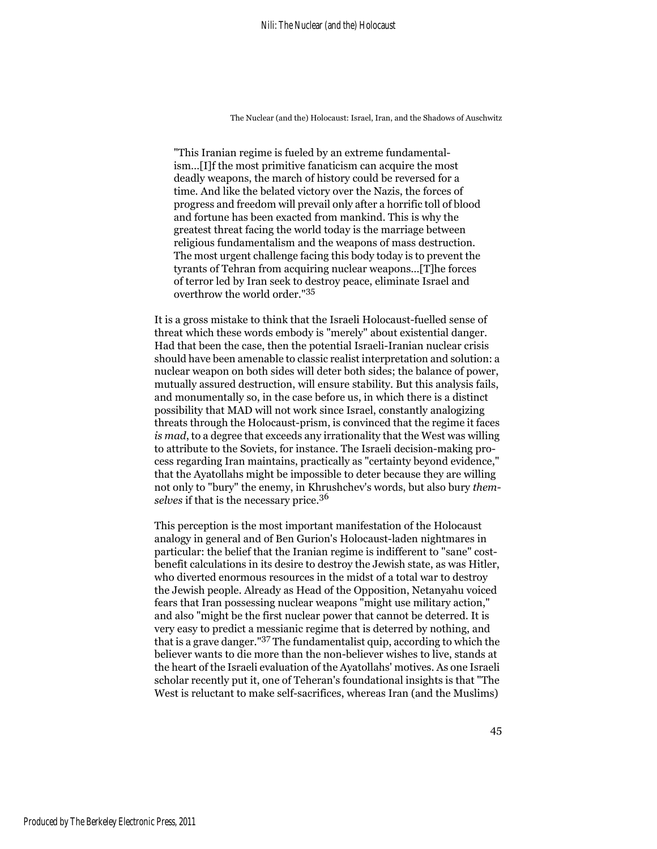"This Iranian regime is fueled by an extreme fundamentalism…[I]f the most primitive fanaticism can acquire the most deadly weapons, the march of history could be reversed for a time. And like the belated victory over the Nazis, the forces of progress and freedom will prevail only after a horrific toll of blood and fortune has been exacted from mankind. This is why the greatest threat facing the world today is the marriage between religious fundamentalism and the weapons of mass destruction. The most urgent challenge facing this body today is to prevent the tyrants of Tehran from acquiring nuclear weapons…[T]he forces of terror led by Iran seek to destroy peace, eliminate Israel and overthrow the world order."<sup>35</sup>

It is a gross mistake to think that the Israeli Holocaust-fuelled sense of threat which these words embody is "merely" about existential danger. Had that been the case, then the potential Israeli-Iranian nuclear crisis should have been amenable to classic realist interpretation and solution: a nuclear weapon on both sides will deter both sides; the balance of power, mutually assured destruction, will ensure stability. But this analysis fails, and monumentally so, in the case before us, in which there is a distinct possibility that MAD will not work since Israel, constantly analogizing threats through the Holocaust-prism, is convinced that the regime it faces *is mad*, to a degree that exceeds any irrationality that the West was willing to attribute to the Soviets, for instance. The Israeli decision-making process regarding Iran maintains, practically as "certainty beyond evidence," that the Ayatollahs might be impossible to deter because they are willing not only to "bury" the enemy, in Khrushchev's words, but also bury *themselves* if that is the necessary price.<sup>36</sup>

This perception is the most important manifestation of the Holocaust analogy in general and of Ben Gurion's Holocaust-laden nightmares in particular: the belief that the Iranian regime is indifferent to "sane" costbenefit calculations in its desire to destroy the Jewish state, as was Hitler, who diverted enormous resources in the midst of a total war to destroy the Jewish people. Already as Head of the Opposition, Netanyahu voiced fears that Iran possessing nuclear weapons "might use military action," and also "might be the first nuclear power that cannot be deterred. It is very easy to predict a messianic regime that is deterred by nothing, and that is a grave danger."37 The fundamentalist quip, according to which the believer wants to die more than the non-believer wishes to live, stands at the heart of the Israeli evaluation of the Ayatollahs' motives. As one Israeli scholar recently put it, one of Teheran's foundational insights is that "The West is reluctant to make self-sacrifices, whereas Iran (and the Muslims)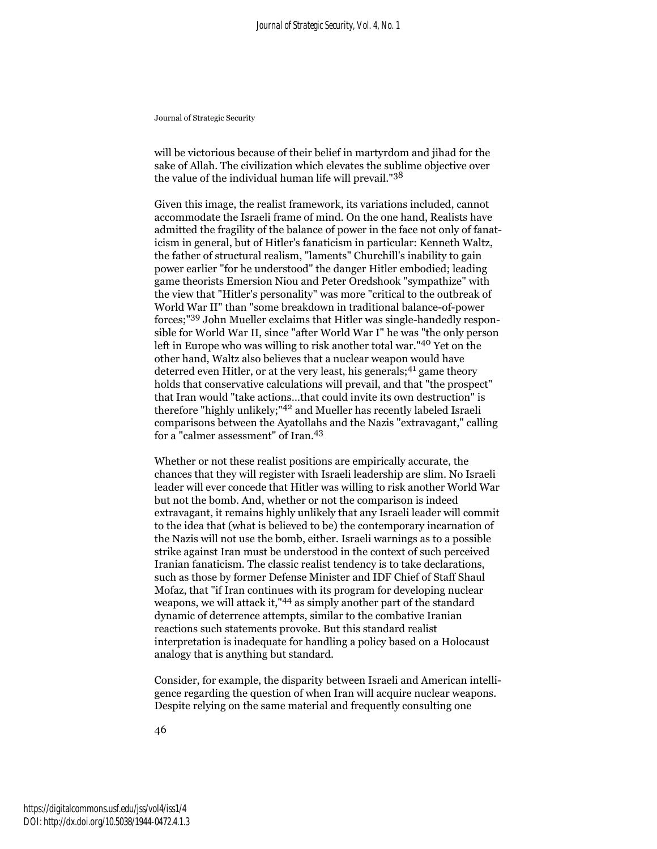will be victorious because of their belief in martyrdom and jihad for the sake of Allah. The civilization which elevates the sublime objective over the value of the individual human life will prevail."<sup>38</sup>

Given this image, the realist framework, its variations included, cannot accommodate the Israeli frame of mind. On the one hand, Realists have admitted the fragility of the balance of power in the face not only of fanaticism in general, but of Hitler's fanaticism in particular: Kenneth Waltz, the father of structural realism, "laments" Churchill's inability to gain power earlier "for he understood" the danger Hitler embodied; leading game theorists Emersion Niou and Peter Oredshook "sympathize" with the view that "Hitler's personality" was more "critical to the outbreak of World War II" than "some breakdown in traditional balance-of-power forces;"39 John Mueller exclaims that Hitler was single-handedly responsible for World War II, since "after World War I" he was "the only person left in Europe who was willing to risk another total war."40 Yet on the other hand, Waltz also believes that a nuclear weapon would have deterred even Hitler, or at the very least, his generals;<sup>41</sup> game theory holds that conservative calculations will prevail, and that "the prospect" that Iran would "take actions…that could invite its own destruction" is therefore "highly unlikely;"42 and Mueller has recently labeled Israeli comparisons between the Ayatollahs and the Nazis "extravagant," calling for a "calmer assessment" of Iran.<sup>43</sup>

Whether or not these realist positions are empirically accurate, the chances that they will register with Israeli leadership are slim. No Israeli leader will ever concede that Hitler was willing to risk another World War but not the bomb. And, whether or not the comparison is indeed extravagant, it remains highly unlikely that any Israeli leader will commit to the idea that (what is believed to be) the contemporary incarnation of the Nazis will not use the bomb, either. Israeli warnings as to a possible strike against Iran must be understood in the context of such perceived Iranian fanaticism. The classic realist tendency is to take declarations, such as those by former Defense Minister and IDF Chief of Staff Shaul Mofaz, that "if Iran continues with its program for developing nuclear weapons, we will attack it,"44 as simply another part of the standard dynamic of deterrence attempts, similar to the combative Iranian reactions such statements provoke. But this standard realist interpretation is inadequate for handling a policy based on a Holocaust analogy that is anything but standard.

Consider, for example, the disparity between Israeli and American intelligence regarding the question of when Iran will acquire nuclear weapons. Despite relying on the same material and frequently consulting one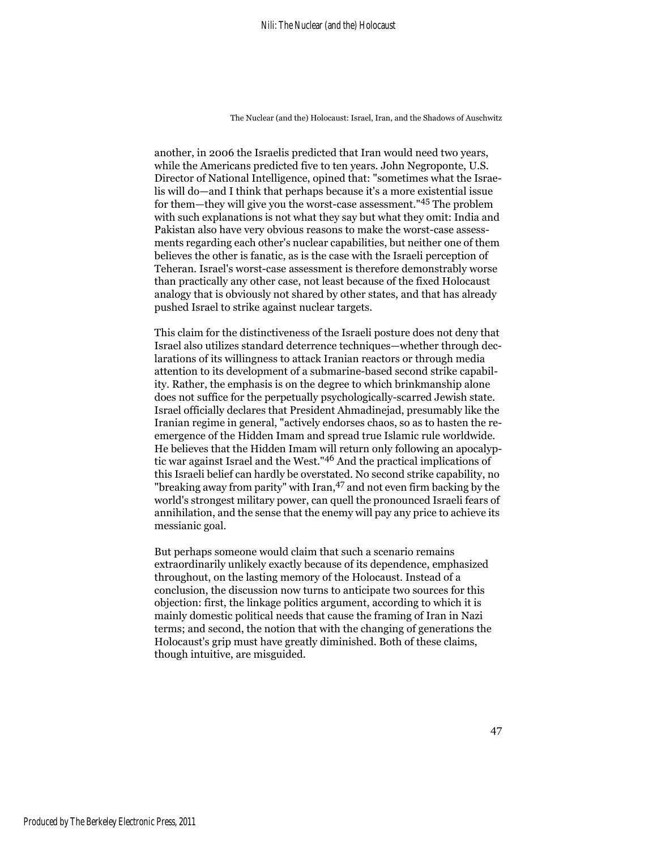another, in 2006 the Israelis predicted that Iran would need two years, while the Americans predicted five to ten years. John Negroponte, U.S. Director of National Intelligence, opined that: "sometimes what the Israelis will do—and I think that perhaps because it's a more existential issue for them—they will give you the worst-case assessment."45 The problem with such explanations is not what they say but what they omit: India and Pakistan also have very obvious reasons to make the worst-case assessments regarding each other's nuclear capabilities, but neither one of them believes the other is fanatic, as is the case with the Israeli perception of Teheran. Israel's worst-case assessment is therefore demonstrably worse than practically any other case, not least because of the fixed Holocaust analogy that is obviously not shared by other states, and that has already pushed Israel to strike against nuclear targets.

This claim for the distinctiveness of the Israeli posture does not deny that Israel also utilizes standard deterrence techniques—whether through declarations of its willingness to attack Iranian reactors or through media attention to its development of a submarine-based second strike capability. Rather, the emphasis is on the degree to which brinkmanship alone does not suffice for the perpetually psychologically-scarred Jewish state. Israel officially declares that President Ahmadinejad, presumably like the Iranian regime in general, "actively endorses chaos, so as to hasten the reemergence of the Hidden Imam and spread true Islamic rule worldwide. He believes that the Hidden Imam will return only following an apocalyptic war against Israel and the West."46 And the practical implications of this Israeli belief can hardly be overstated. No second strike capability, no "breaking away from parity" with Iran, <sup>47</sup> and not even firm backing by the world's strongest military power, can quell the pronounced Israeli fears of annihilation, and the sense that the enemy will pay any price to achieve its messianic goal.

But perhaps someone would claim that such a scenario remains extraordinarily unlikely exactly because of its dependence, emphasized throughout, on the lasting memory of the Holocaust. Instead of a conclusion, the discussion now turns to anticipate two sources for this objection: first, the linkage politics argument, according to which it is mainly domestic political needs that cause the framing of Iran in Nazi terms; and second, the notion that with the changing of generations the Holocaust's grip must have greatly diminished. Both of these claims, though intuitive, are misguided.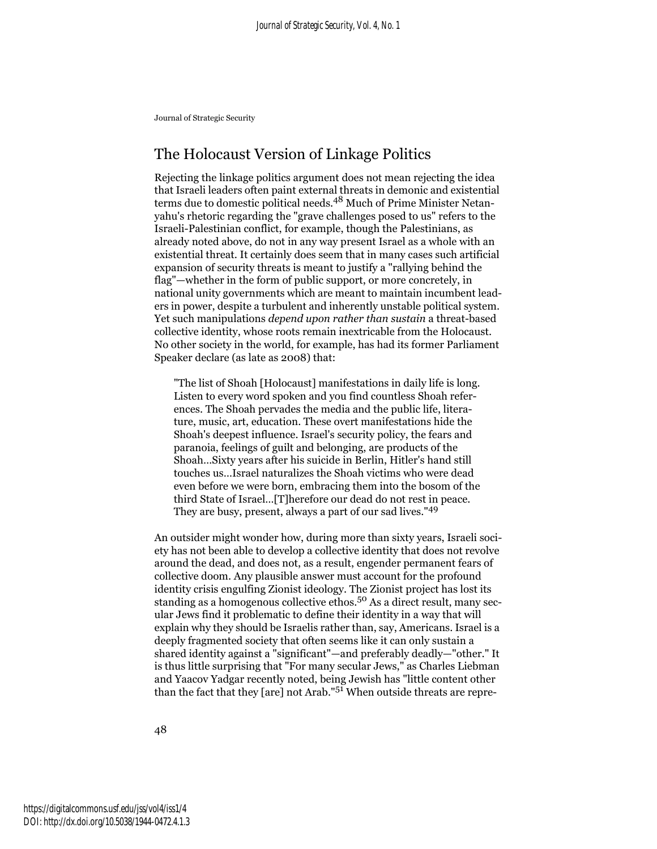## The Holocaust Version of Linkage Politics

Rejecting the linkage politics argument does not mean rejecting the idea that Israeli leaders often paint external threats in demonic and existential terms due to domestic political needs.<sup>48</sup> Much of Prime Minister Netanyahu's rhetoric regarding the "grave challenges posed to us" refers to the Israeli-Palestinian conflict, for example, though the Palestinians, as already noted above, do not in any way present Israel as a whole with an existential threat. It certainly does seem that in many cases such artificial expansion of security threats is meant to justify a "rallying behind the flag"—whether in the form of public support, or more concretely, in national unity governments which are meant to maintain incumbent leaders in power, despite a turbulent and inherently unstable political system. Yet such manipulations *depend upon rather than sustain* a threat-based collective identity, whose roots remain inextricable from the Holocaust. No other society in the world, for example, has had its former Parliament Speaker declare (as late as 2008) that:

"The list of Shoah [Holocaust] manifestations in daily life is long. Listen to every word spoken and you find countless Shoah references. The Shoah pervades the media and the public life, literature, music, art, education. These overt manifestations hide the Shoah's deepest influence. Israel's security policy, the fears and paranoia, feelings of guilt and belonging, are products of the Shoah…Sixty years after his suicide in Berlin, Hitler's hand still touches us…Israel naturalizes the Shoah victims who were dead even before we were born, embracing them into the bosom of the third State of Israel…[T]herefore our dead do not rest in peace. They are busy, present, always a part of our sad lives."<sup>49</sup>

An outsider might wonder how, during more than sixty years, Israeli society has not been able to develop a collective identity that does not revolve around the dead, and does not, as a result, engender permanent fears of collective doom. Any plausible answer must account for the profound identity crisis engulfing Zionist ideology. The Zionist project has lost its standing as a homogenous collective ethos.<sup>50</sup> As a direct result, many secular Jews find it problematic to define their identity in a way that will explain why they should be Israelis rather than, say, Americans. Israel is a deeply fragmented society that often seems like it can only sustain a shared identity against a "significant"—and preferably deadly—"other." It is thus little surprising that "For many secular Jews," as Charles Liebman and Yaacov Yadgar recently noted, being Jewish has "little content other than the fact that they [are] not Arab." $5<sup>1</sup>$  When outside threats are repre-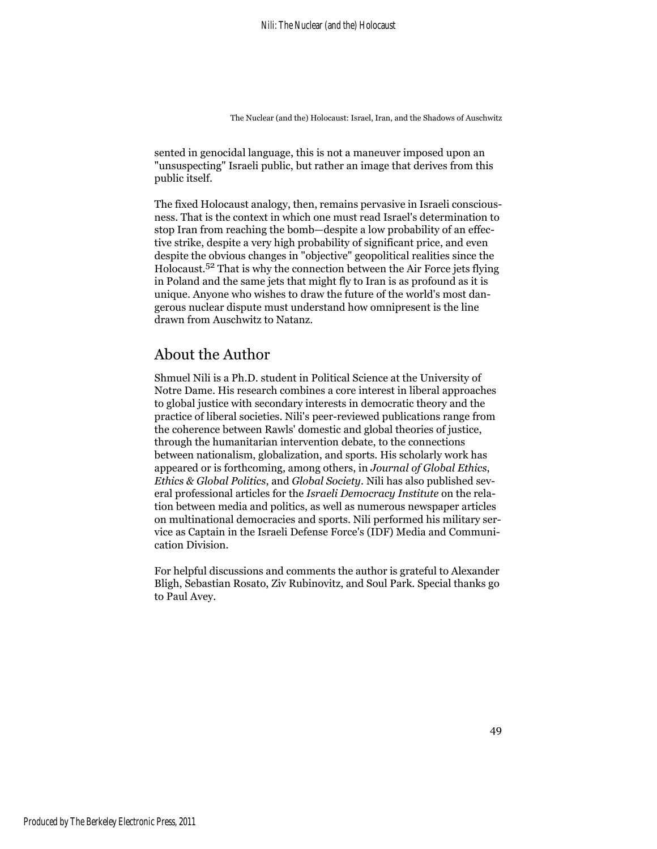sented in genocidal language, this is not a maneuver imposed upon an "unsuspecting" Israeli public, but rather an image that derives from this public itself.

The fixed Holocaust analogy, then, remains pervasive in Israeli consciousness. That is the context in which one must read Israel's determination to stop Iran from reaching the bomb—despite a low probability of an effective strike, despite a very high probability of significant price, and even despite the obvious changes in "objective" geopolitical realities since the Holocaust.52 That is why the connection between the Air Force jets flying in Poland and the same jets that might fly to Iran is as profound as it is unique. Anyone who wishes to draw the future of the world's most dangerous nuclear dispute must understand how omnipresent is the line drawn from Auschwitz to Natanz.

## About the Author

Shmuel Nili is a Ph.D. student in Political Science at the University of Notre Dame. His research combines a core interest in liberal approaches to global justice with secondary interests in democratic theory and the practice of liberal societies. Nili's peer-reviewed publications range from the coherence between Rawls' domestic and global theories of justice, through the humanitarian intervention debate, to the connections between nationalism, globalization, and sports. His scholarly work has appeared or is forthcoming, among others, in *Journal of Global Ethics*, *Ethics & Global Politics*, and *Global Society*. Nili has also published several professional articles for the *Israeli Democracy Institute* on the relation between media and politics, as well as numerous newspaper articles on multinational democracies and sports. Nili performed his military service as Captain in the Israeli Defense Force's (IDF) Media and Communication Division.

For helpful discussions and comments the author is grateful to Alexander Bligh, Sebastian Rosato, Ziv Rubinovitz, and Soul Park. Special thanks go to Paul Avey.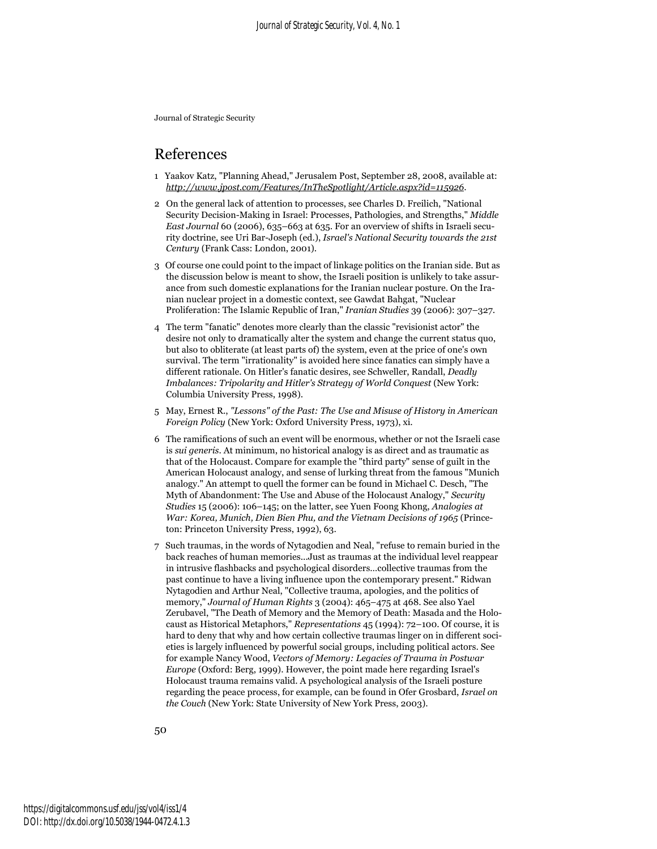### References

- 1 Yaakov Katz, "Planning Ahead," Jerusalem Post, September 28, 2008, available at: *http://www.jpost.com/Features/InTheSpotlight/Article.aspx?id=115926*.
- 2 On the general lack of attention to processes, see Charles D. Freilich, "National Security Decision-Making in Israel: Processes, Pathologies, and Strengths," *Middle East Journal* 60 (2006), 635–663 at 635. For an overview of shifts in Israeli security doctrine, see Uri Bar-Joseph (ed.), *Israel's National Security towards the 21st Century* (Frank Cass: London, 2001).
- 3 Of course one could point to the impact of linkage politics on the Iranian side. But as the discussion below is meant to show, the Israeli position is unlikely to take assurance from such domestic explanations for the Iranian nuclear posture. On the Iranian nuclear project in a domestic context, see Gawdat Bahgat, "Nuclear Proliferation: The Islamic Republic of Iran," *Iranian Studies* 39 (2006): 307–327.
- 4 The term "fanatic" denotes more clearly than the classic "revisionist actor" the desire not only to dramatically alter the system and change the current status quo, but also to obliterate (at least parts of) the system, even at the price of one's own survival. The term "irrationality" is avoided here since fanatics can simply have a different rationale. On Hitler's fanatic desires, see Schweller, Randall, *Deadly Imbalances: Tripolarity and Hitler's Strategy of World Conquest* (New York: Columbia University Press, 1998).
- 5 May, Ernest R., *"Lessons" of the Past: The Use and Misuse of History in American Foreign Policy* (New York: Oxford University Press, 1973), xi.
- 6 The ramifications of such an event will be enormous, whether or not the Israeli case is *sui generis*. At minimum, no historical analogy is as direct and as traumatic as that of the Holocaust. Compare for example the "third party" sense of guilt in the American Holocaust analogy, and sense of lurking threat from the famous "Munich analogy." An attempt to quell the former can be found in Michael C. Desch, "The Myth of Abandonment: The Use and Abuse of the Holocaust Analogy," *Security Studies* 15 (2006): 106–145; on the latter, see Yuen Foong Khong, *Analogies at War: Korea, Munich, Dien Bien Phu, and the Vietnam Decisions of 1965* (Princeton: Princeton University Press, 1992), 63.
- 7 Such traumas, in the words of Nytagodien and Neal, "refuse to remain buried in the back reaches of human memories...Just as traumas at the individual level reappear in intrusive flashbacks and psychological disorders…collective traumas from the past continue to have a living influence upon the contemporary present." Ridwan Nytagodien and Arthur Neal, "Collective trauma, apologies, and the politics of memory," *Journal of Human Rights* 3 (2004): 465–475 at 468. See also Yael Zerubavel, "The Death of Memory and the Memory of Death: Masada and the Holocaust as Historical Metaphors," *Representations* 45 (1994): 72–100. Of course, it is hard to deny that why and how certain collective traumas linger on in different societies is largely influenced by powerful social groups, including political actors. See for example Nancy Wood, *Vectors of Memory: Legacies of Trauma in Postwar Europe* (Oxford: Berg, 1999). However, the point made here regarding Israel's Holocaust trauma remains valid. A psychological analysis of the Israeli posture regarding the peace process, for example, can be found in Ofer Grosbard, *Israel on the Couch* (New York: State University of New York Press, 2003).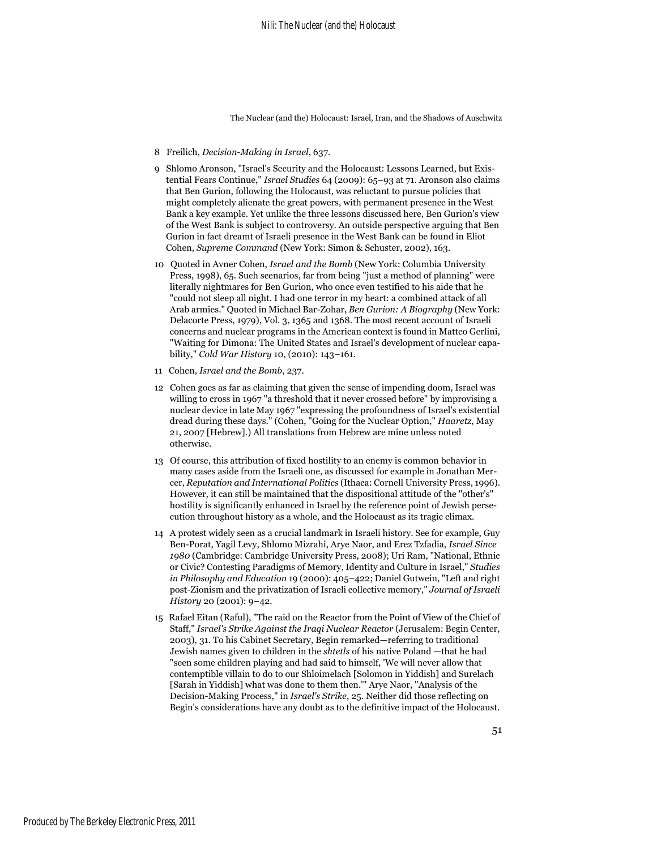- 8 Freilich, *Decision-Making in Israel*, 637.
- 9 Shlomo Aronson, "Israel's Security and the Holocaust: Lessons Learned, but Existential Fears Continue," *Israel Studies* 64 (2009): 65–93 at 71. Aronson also claims that Ben Gurion, following the Holocaust, was reluctant to pursue policies that might completely alienate the great powers, with permanent presence in the West Bank a key example. Yet unlike the three lessons discussed here, Ben Gurion's view of the West Bank is subject to controversy. An outside perspective arguing that Ben Gurion in fact dreamt of Israeli presence in the West Bank can be found in Eliot Cohen, *Supreme Command* (New York: Simon & Schuster, 2002), 163.
- 10 Quoted in Avner Cohen, *Israel and the Bomb* (New York: Columbia University Press, 1998), 65. Such scenarios, far from being "just a method of planning" were literally nightmares for Ben Gurion, who once even testified to his aide that he "could not sleep all night. I had one terror in my heart: a combined attack of all Arab armies." Quoted in Michael Bar-Zohar, *Ben Gurion: A Biography* (New York: Delacorte Press, 1979), Vol. 3, 1365 and 1368. The most recent account of Israeli concerns and nuclear programs in the American context is found in Matteo Gerlini, "Waiting for Dimona: The United States and Israel's development of nuclear capability," *Cold War History* 10, (2010): 143–161.
- 11 Cohen, *Israel and the Bomb*, 237.
- 12 Cohen goes as far as claiming that given the sense of impending doom, Israel was willing to cross in 1967 "a threshold that it never crossed before" by improvising a nuclear device in late May 1967 "expressing the profoundness of Israel's existential dread during these days." (Cohen, "Going for the Nuclear Option," *Haaretz*, May 21, 2007 [Hebrew].) All translations from Hebrew are mine unless noted otherwise.
- 13 Of course, this attribution of fixed hostility to an enemy is common behavior in many cases aside from the Israeli one, as discussed for example in Jonathan Mercer, *Reputation and International Politics* (Ithaca: Cornell University Press, 1996). However, it can still be maintained that the dispositional attitude of the "other's" hostility is significantly enhanced in Israel by the reference point of Jewish persecution throughout history as a whole, and the Holocaust as its tragic climax.
- 14 A protest widely seen as a crucial landmark in Israeli history. See for example, Guy Ben-Porat, Yagil Levy, Shlomo Mizrahi, Arye Naor, and Erez Tzfadia, *Israel Since 1980* (Cambridge: Cambridge University Press, 2008); Uri Ram, "National, Ethnic or Civic? Contesting Paradigms of Memory, Identity and Culture in Israel," *Studies in Philosophy and Education* 19 (2000): 405–422; Daniel Gutwein, "Left and right post-Zionism and the privatization of Israeli collective memory," *Journal of Israeli History* 20 (2001): 9–42.
- 15 Rafael Eitan (Raful), "The raid on the Reactor from the Point of View of the Chief of Staff," *Israel's Strike Against the Iraqi Nuclear Reactor* (Jerusalem: Begin Center, 2003), 31. To his Cabinet Secretary, Begin remarked—referring to traditional Jewish names given to children in the *shtetls* of his native Poland —that he had "seen some children playing and had said to himself, 'We will never allow that contemptible villain to do to our Shloimelach [Solomon in Yiddish] and Surelach [Sarah in Yiddish] what was done to them then.'" Arye Naor, "Analysis of the Decision-Making Process," in *Israel's Strike*, 25. Neither did those reflecting on Begin's considerations have any doubt as to the definitive impact of the Holocaust.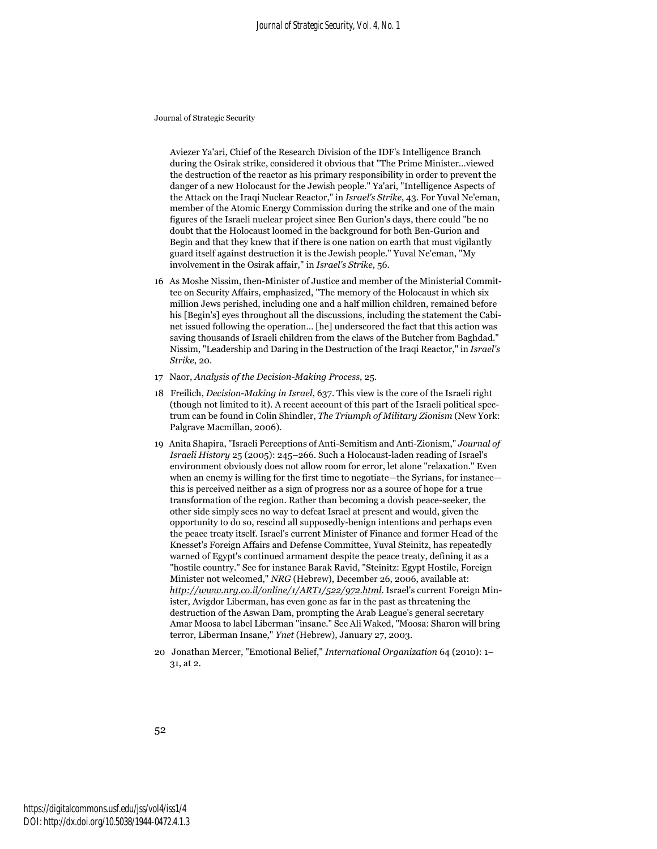Aviezer Ya'ari, Chief of the Research Division of the IDF's Intelligence Branch during the Osirak strike, considered it obvious that "The Prime Minister…viewed the destruction of the reactor as his primary responsibility in order to prevent the danger of a new Holocaust for the Jewish people." Ya'ari, "Intelligence Aspects of the Attack on the Iraqi Nuclear Reactor," in *Israel's Strike*, 43. For Yuval Ne'eman, member of the Atomic Energy Commission during the strike and one of the main figures of the Israeli nuclear project since Ben Gurion's days, there could "be no doubt that the Holocaust loomed in the background for both Ben-Gurion and Begin and that they knew that if there is one nation on earth that must vigilantly guard itself against destruction it is the Jewish people." Yuval Ne'eman, "My involvement in the Osirak affair," in *Israel's Strike*, 56.

- 16 As Moshe Nissim, then-Minister of Justice and member of the Ministerial Committee on Security Affairs, emphasized, "The memory of the Holocaust in which six million Jews perished, including one and a half million children, remained before his [Begin's] eyes throughout all the discussions, including the statement the Cabinet issued following the operation… [he] underscored the fact that this action was saving thousands of Israeli children from the claws of the Butcher from Baghdad." Nissim, "Leadership and Daring in the Destruction of the Iraqi Reactor," in *Israel's Strike*, 20.
- 17 Naor, *Analysis of the Decision-Making Process*, 25.
- 18 Freilich, *Decision-Making in Israel*, 637. This view is the core of the Israeli right (though not limited to it). A recent account of this part of the Israeli political spectrum can be found in Colin Shindler, *The Triumph of Military Zionism* (New York: Palgrave Macmillan, 2006).
- 19 Anita Shapira, "Israeli Perceptions of Anti-Semitism and Anti-Zionism," *Journal of Israeli History* 25 (2005): 245–266. Such a Holocaust-laden reading of Israel's environment obviously does not allow room for error, let alone "relaxation." Even when an enemy is willing for the first time to negotiate—the Syrians, for instance this is perceived neither as a sign of progress nor as a source of hope for a true transformation of the region. Rather than becoming a dovish peace-seeker, the other side simply sees no way to defeat Israel at present and would, given the opportunity to do so, rescind all supposedly-benign intentions and perhaps even the peace treaty itself. Israel's current Minister of Finance and former Head of the Knesset's Foreign Affairs and Defense Committee, Yuval Steinitz, has repeatedly warned of Egypt's continued armament despite the peace treaty, defining it as a "hostile country." See for instance Barak Ravid, "Steinitz: Egypt Hostile, Foreign Minister not welcomed," *NRG* (Hebrew), December 26, 2006, available at: *http://www.nrg.co.il/online/1/ART1/522/972.html*. Israel's current Foreign Minister, Avigdor Liberman, has even gone as far in the past as threatening the destruction of the Aswan Dam, prompting the Arab League's general secretary Amar Moosa to label Liberman "insane." See Ali Waked, "Moosa: Sharon will bring terror, Liberman Insane," *Ynet* (Hebrew), January 27, 2003.
- 20 Jonathan Mercer, "Emotional Belief," *International Organization* 64 (2010): 1– 31, at 2.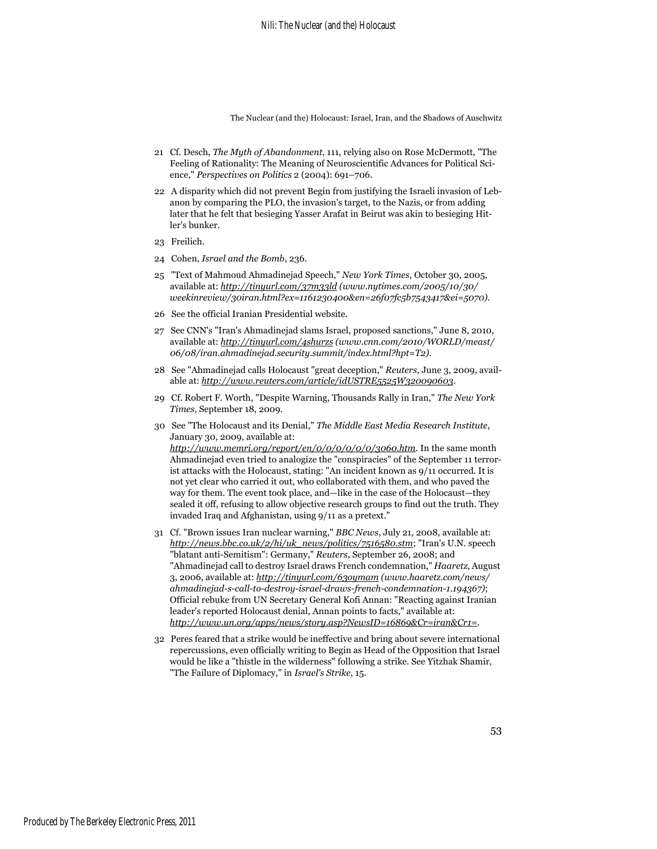- 21 Cf. Desch, *The Myth of Abandonment*, 111, relying also on Rose McDermott, "The Feeling of Rationality: The Meaning of Neuroscientific Advances for Political Science," *Perspectives on Politics* 2 (2004): 691–706.
- 22 A disparity which did not prevent Begin from justifying the Israeli invasion of Lebanon by comparing the PLO, the invasion's target, to the Nazis, or from adding later that he felt that besieging Yasser Arafat in Beirut was akin to besieging Hitler's bunker.
- 23 Freilich.
- 24 Cohen, *Israel and the Bomb*, 236.
- 25 "Text of Mahmoud Ahmadinejad Speech," *New York Times*, October 30, 2005, available at: *http://tinyurl.com/37m33ld (www.nytimes.com/2005/10/30/ weekinreview/30iran.html?ex=1161230400&en=26f07fc5b7543417&ei=5070)*.
- 26 See the official Iranian Presidential website.
- 27 See CNN's "Iran's Ahmadinejad slams Israel, proposed sanctions," June 8, 2010, available at: *http://tinyurl.com/4shurzs (www.cnn.com/2010/WORLD/meast/ 06/08/iran.ahmadinejad.security.summit/index.html?hpt=T2)*.
- 28 See "Ahmadinejad calls Holocaust "great deception," *Reuters*, June 3, 2009, available at: *http://www.reuters.com/article/idUSTRE5525W320090603*.
- 29 Cf. Robert F. Worth, "Despite Warning, Thousands Rally in Iran," *The New York Times*, September 18, 2009.
- 30 See "The Holocaust and its Denial," *The Middle East Media Research Institute*, January 30, 2009, available at: *http://www.memri.org/report/en/0/0/0/0/0/0/3060.htm*. In the same month Ahmadinejad even tried to analogize the "conspiracies" of the September 11 terrorist attacks with the Holocaust, stating: "An incident known as 9/11 occurred. It is not yet clear who carried it out, who collaborated with them, and who paved the way for them. The event took place, and—like in the case of the Holocaust—they sealed it off, refusing to allow objective research groups to find out the truth. They invaded Iraq and Afghanistan, using 9/11 as a pretext."
- 31 Cf. "Brown issues Iran nuclear warning," *BBC News*, July 21, 2008, available at: *http://news.bbc.co.uk/2/hi/uk\_news/politics/7516580.stm*; "Iran's U.N. speech "blatant anti-Semitism": Germany," *Reuters*, September 26, 2008; and "Ahmadinejad call to destroy Israel draws French condemnation," *Haaretz*, August 3, 2006, available at: *http://tinyurl.com/63oymam (www.haaretz.com/news/ ahmadinejad-s-call-to-destroy-israel-draws-french-condemnation-1.194367)*; Official rebuke from UN Secretary General Kofi Annan: "Reacting against Iranian leader's reported Holocaust denial, Annan points to facts," available at: *http://www.un.org/apps/news/story.asp?NewsID=16869&Cr=iran&Cr1=*.
- 32 Peres feared that a strike would be ineffective and bring about severe international repercussions, even officially writing to Begin as Head of the Opposition that Israel would be like a "thistle in the wilderness" following a strike. See Yitzhak Shamir, "The Failure of Diplomacy," in *Israel's Strike*, 15.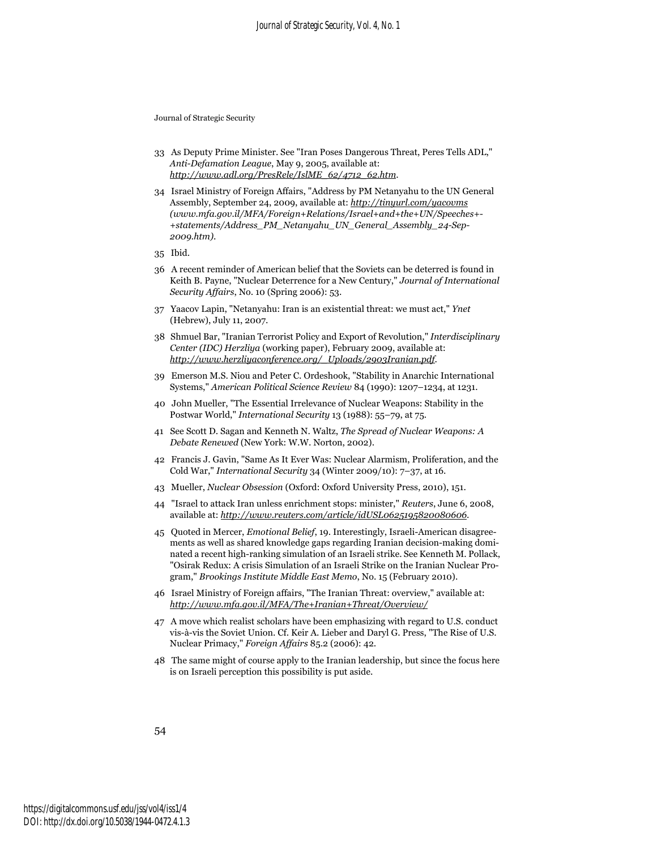- 33 As Deputy Prime Minister. See "Iran Poses Dangerous Threat, Peres Tells ADL," *Anti-Defamation League*, May 9, 2005, available at: *http://www.adl.org/PresRele/IslME\_62/4712\_62.htm*.
- 34 Israel Ministry of Foreign Affairs, "Address by PM Netanyahu to the UN General Assembly, September 24, 2009, available at: *http://tinyurl.com/yacovms (www.mfa.gov.il/MFA/Foreign+Relations/Israel+and+the+UN/Speeches+- +statements/Address\_PM\_Netanyahu\_UN\_General\_Assembly\_24-Sep-2009.htm)*.
- 35 Ibid.
- 36 A recent reminder of American belief that the Soviets can be deterred is found in Keith B. Payne, "Nuclear Deterrence for a New Century," *Journal of International Security Affairs*, No. 10 (Spring 2006): 53.
- 37 Yaacov Lapin, "Netanyahu: Iran is an existential threat: we must act," *Ynet* (Hebrew), July 11, 2007.
- 38 Shmuel Bar, "Iranian Terrorist Policy and Export of Revolution," *Interdisciplinary Center (IDC) Herzliya* (working paper), February 2009, available at: *http://www.herzliyaconference.org/\_Uploads/2903Iranian.pdf*.
- 39 Emerson M.S. Niou and Peter C. Ordeshook, "Stability in Anarchic International Systems," *American Political Science Review* 84 (1990): 1207–1234, at 1231.
- 40 John Mueller, "The Essential Irrelevance of Nuclear Weapons: Stability in the Postwar World," *International Security* 13 (1988): 55–79, at 75.
- 41 See Scott D. Sagan and Kenneth N. Waltz, *The Spread of Nuclear Weapons: A Debate Renewed* (New York: W.W. Norton, 2002).
- 42 Francis J. Gavin, "Same As It Ever Was: Nuclear Alarmism, Proliferation, and the Cold War," *International Security* 34 (Winter 2009/10): 7–37, at 16.
- 43 Mueller, *Nuclear Obsession* (Oxford: Oxford University Press, 2010), 151.
- 44 "Israel to attack Iran unless enrichment stops: minister," *Reuters*, June 6, 2008, available at: *http://www.reuters.com/article/idUSL0625195820080606*.
- 45 Quoted in Mercer, *Emotional Belief*, 19. Interestingly, Israeli-American disagreements as well as shared knowledge gaps regarding Iranian decision-making dominated a recent high-ranking simulation of an Israeli strike. See Kenneth M. Pollack, "Osirak Redux: A crisis Simulation of an Israeli Strike on the Iranian Nuclear Program," *Brookings Institute Middle East Memo*, No. 15 (February 2010).
- 46 Israel Ministry of Foreign affairs, "The Iranian Threat: overview," available at: *http://www.mfa.gov.il/MFA/The+Iranian+Threat/Overview/*
- 47 A move which realist scholars have been emphasizing with regard to U.S. conduct vis-à-vis the Soviet Union. Cf. Keir A. Lieber and Daryl G. Press, "The Rise of U.S. Nuclear Primacy," *Foreign Affairs* 85.2 (2006): 42.
- 48 The same might of course apply to the Iranian leadership, but since the focus here is on Israeli perception this possibility is put aside.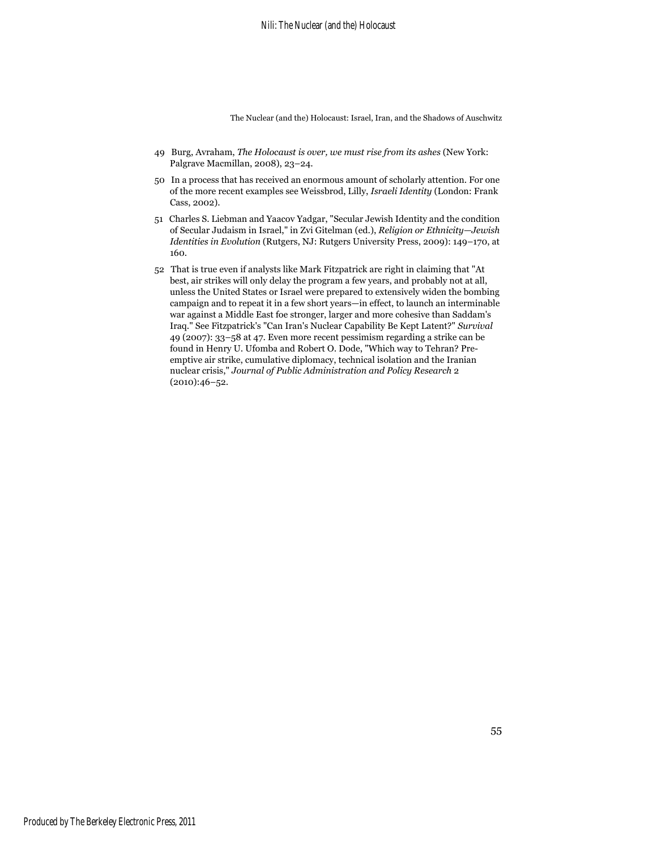- 49 Burg, Avraham, *The Holocaust is over, we must rise from its ashes* (New York: Palgrave Macmillan, 2008), 23–24.
- 50 In a process that has received an enormous amount of scholarly attention. For one of the more recent examples see Weissbrod, Lilly, *Israeli Identity* (London: Frank Cass, 2002).
- 51 Charles S. Liebman and Yaacov Yadgar, "Secular Jewish Identity and the condition of Secular Judaism in Israel," in Zvi Gitelman (ed.), *Religion or Ethnicity—Jewish Identities in Evolution* (Rutgers, NJ: Rutgers University Press, 2009): 149–170, at 160.
- 52 That is true even if analysts like Mark Fitzpatrick are right in claiming that "At best, air strikes will only delay the program a few years, and probably not at all, unless the United States or Israel were prepared to extensively widen the bombing campaign and to repeat it in a few short years—in effect, to launch an interminable war against a Middle East foe stronger, larger and more cohesive than Saddam's Iraq." See Fitzpatrick's "Can Iran's Nuclear Capability Be Kept Latent?" *Survival* 49 (2007): 33–58 at 47. Even more recent pessimism regarding a strike can be found in Henry U. Ufomba and Robert O. Dode, "Which way to Tehran? Preemptive air strike, cumulative diplomacy, technical isolation and the Iranian nuclear crisis," *Journal of Public Administration and Policy Research* 2 (2010):46–52.